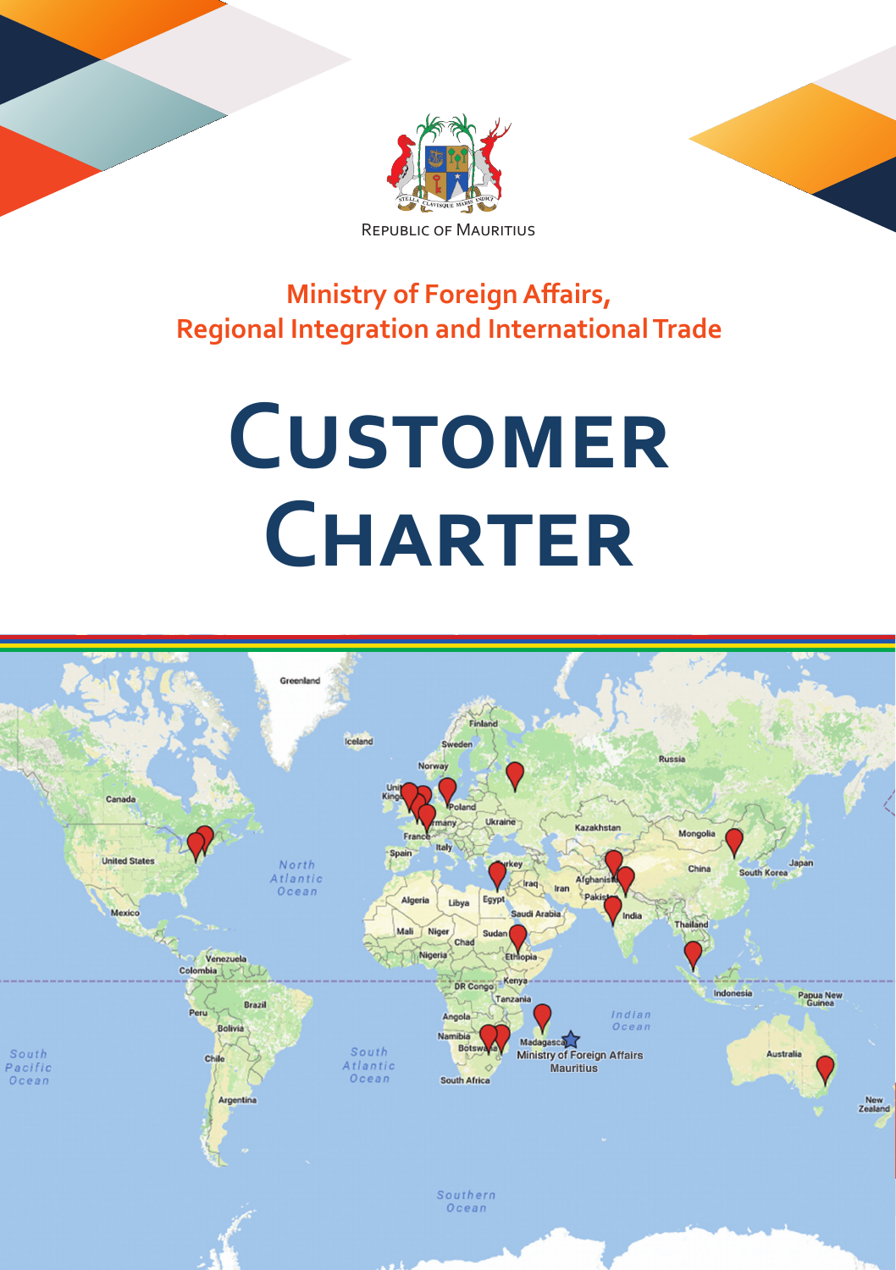





**Ministry of Foreign Affairs, Regional Integration and International Trade**

# **CUSTOMER Charter**

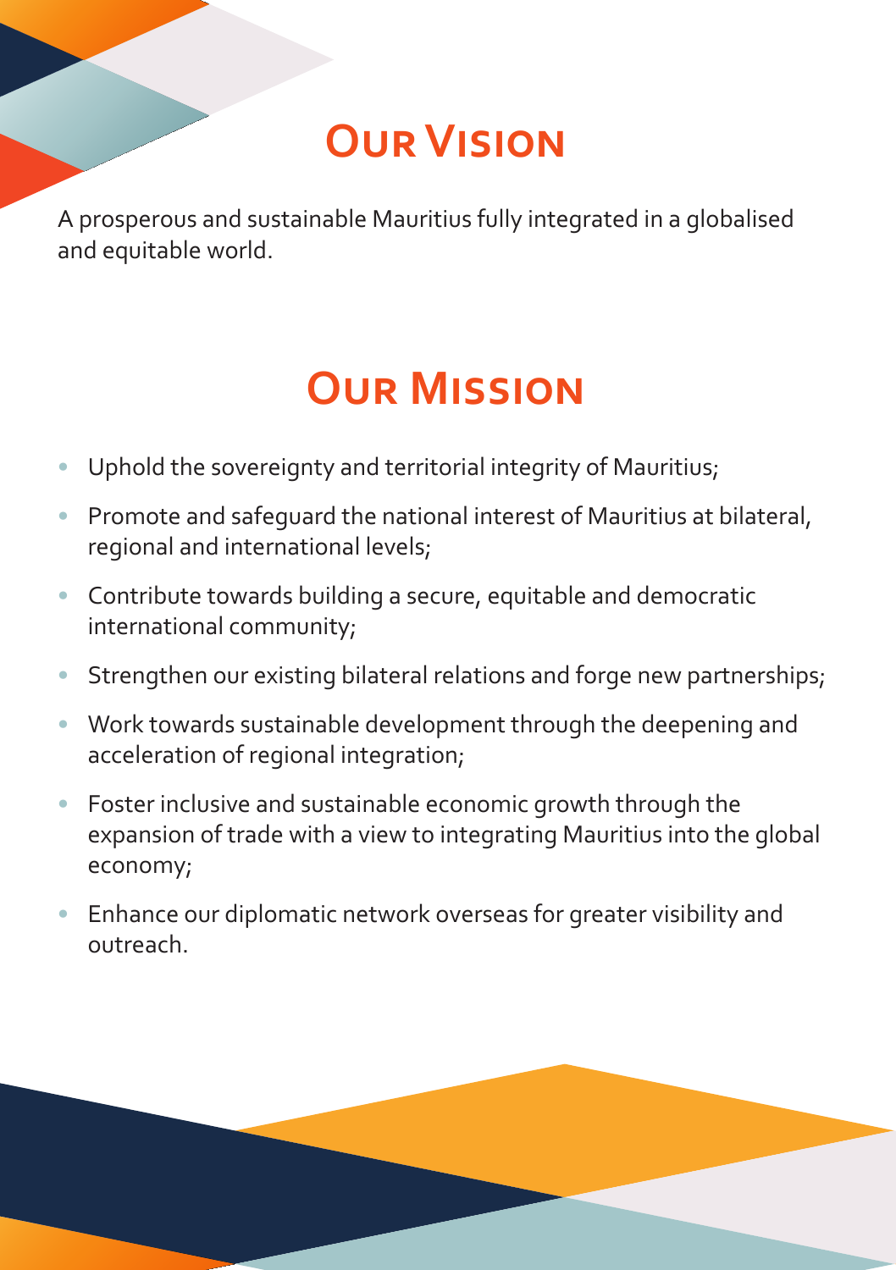# **Our Vision**

A prosperous and sustainable Mauritius fully integrated in a globalised and equitable world.

### **Our Mission**

- Uphold the sovereignty and territorial integrity of Mauritius;
- Promote and safeguard the national interest of Mauritius at bilateral, regional and international levels;
- Contribute towards building a secure, equitable and democratic international community;
- Strengthen our existing bilateral relations and forge new partnerships;
- Work towards sustainable development through the deepening and acceleration of regional integration;
- Foster inclusive and sustainable economic growth through the expansion of trade with a view to integrating Mauritius into the global economy;
- Enhance our diplomatic network overseas for greater visibility and outreach.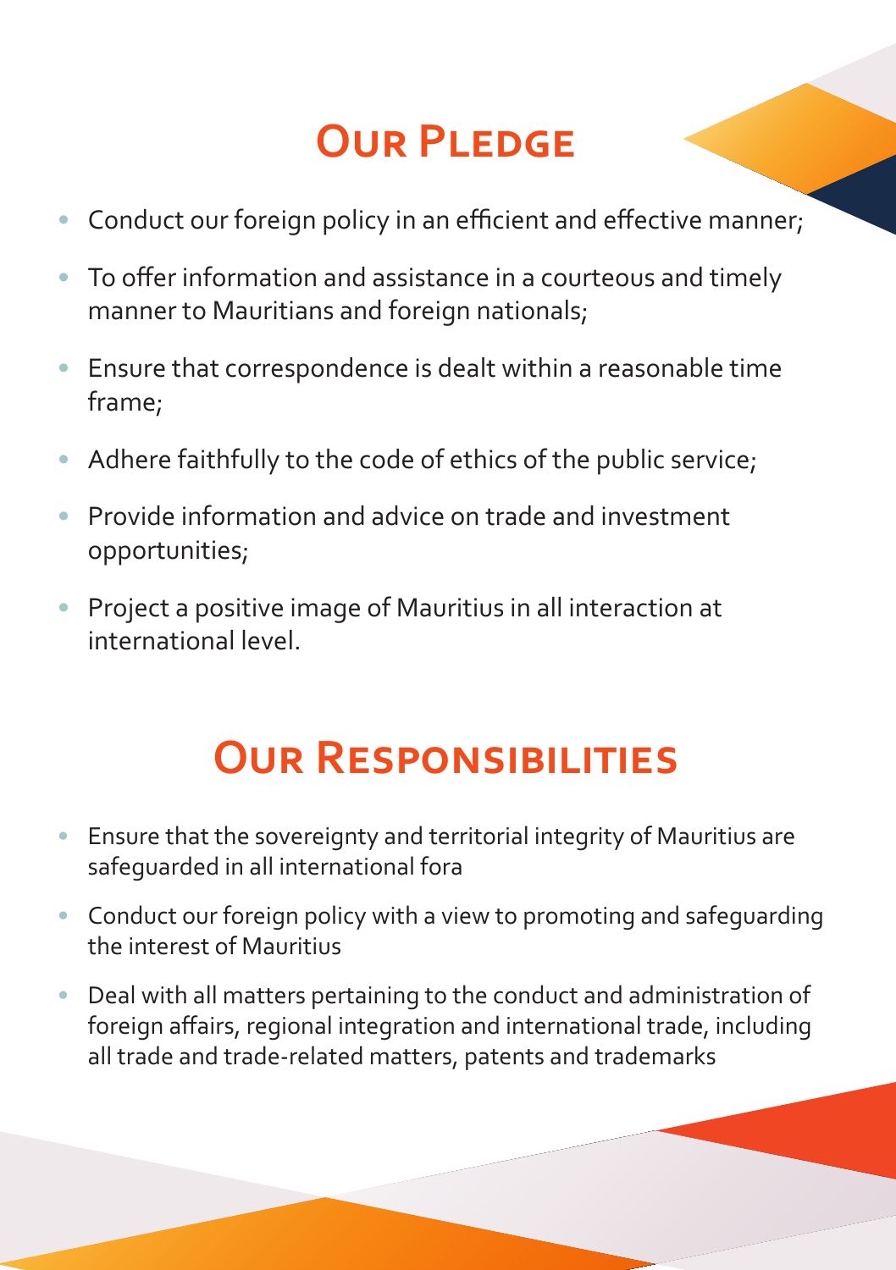# **OUR PLEDGE**

- Conduct our foreign policy in an efficient and effective manner:
- To offer information and assistance in a courteous and timely manner to Mauritians and foreign nationals;
- Ensure that correspondence is dealt within a reasonable time frame;
- Adhere faithfully to the code of ethics of the public service;
- Provide information and advice on trade and investment opportunities;
- Project a positive image of Mauritius in all interaction at international level.

# **Our Responsibilities**

- Ensure that the sovereignty and territorial integrity of Mauritius are safeguarded in all international fora
- Conduct our foreign policy with a view to promoting and safeguarding the interest of Mauritius
- Deal with all matters pertaining to the conduct and administration of foreign affairs, regional integration and international trade, including all trade and trade-related matters, patents and trademarks